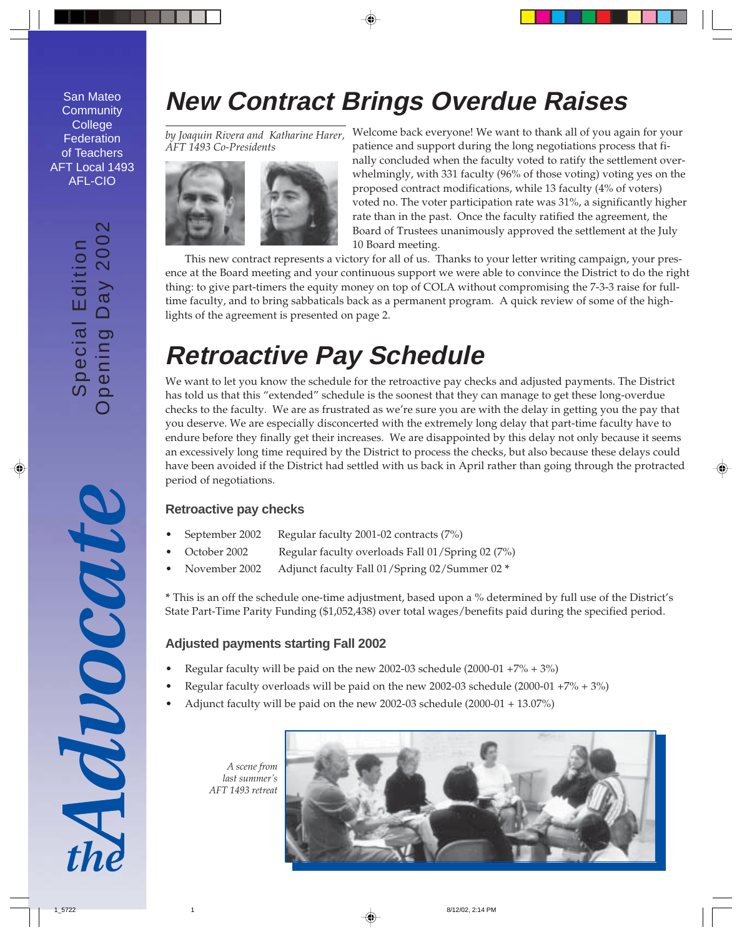San Mateo **Community College Federation** of Teachers AFT Local 1493 AFL-CIO

# $\overline{\mathsf{N}}$ Opening Day 2002 2002 Special Edition<br>pening Day 200 Special Edition

## **New Contract Brings Overdue Raises**

*by Joaquin Rivera and Katharine Harer, AFT 1493 Co-Presidents*



Welcome back everyone! We want to thank all of you again for your patience and support during the long negotiations process that finally concluded when the faculty voted to ratify the settlement overwhelmingly, with 331 faculty (96% of those voting) voting yes on the proposed contract modifications, while 13 faculty (4% of voters) voted no. The voter participation rate was 31%, a significantly higher rate than in the past. Once the faculty ratified the agreement, the Board of Trustees unanimously approved the settlement at the July 10 Board meeting.

This new contract represents a victory for all of us. Thanks to your letter writing campaign, your presence at the Board meeting and your continuous support we were able to convince the District to do the right thing: to give part-timers the equity money on top of COLA without compromising the 7-3-3 raise for fulltime faculty, and to bring sabbaticals back as a permanent program. A quick review of some of the highlights of the agreement is presented on page 2.

## **Retroactive Pay Schedule**

We want to let you know the schedule for the retroactive pay checks and adjusted payments. The District has told us that this "extended" schedule is the soonest that they can manage to get these long-overdue checks to the faculty. We are as frustrated as we're sure you are with the delay in getting you the pay that you deserve. We are especially disconcerted with the extremely long delay that part-time faculty have to endure before they finally get their increases. We are disappointed by this delay not only because it seems an excessively long time required by the District to process the checks, but also because these delays could have been avoided if the District had settled with us back in April rather than going through the protracted period of negotiations.

### **Retroactive pay checks**

- September 2002 Regular faculty 2001-02 contracts (7%)
- October 2002 Regular faculty overloads Fall 01/Spring 02 (7%)
- November 2002 Adjunct faculty Fall 01/Spring 02/Summer 02 **\***

**\*** This is an off the schedule one-time adjustment, based upon a % determined by full use of the District's State Part-Time Parity Funding (\$1,052,438) over total wages/benefits paid during the specified period.

### **Adjusted payments starting Fall 2002**

- Regular faculty will be paid on the new 2002-03 schedule  $(2000-01 + 7\% + 3\%)$
- Regular faculty overloads will be paid on the new 2002-03 schedule  $(2000-01 + 7\% + 3\%)$
- Adjunct faculty will be paid on the new 2002-03 schedule (2000-01 + 13.07%)

*A scene from last summer's AFT 1493 retreat*